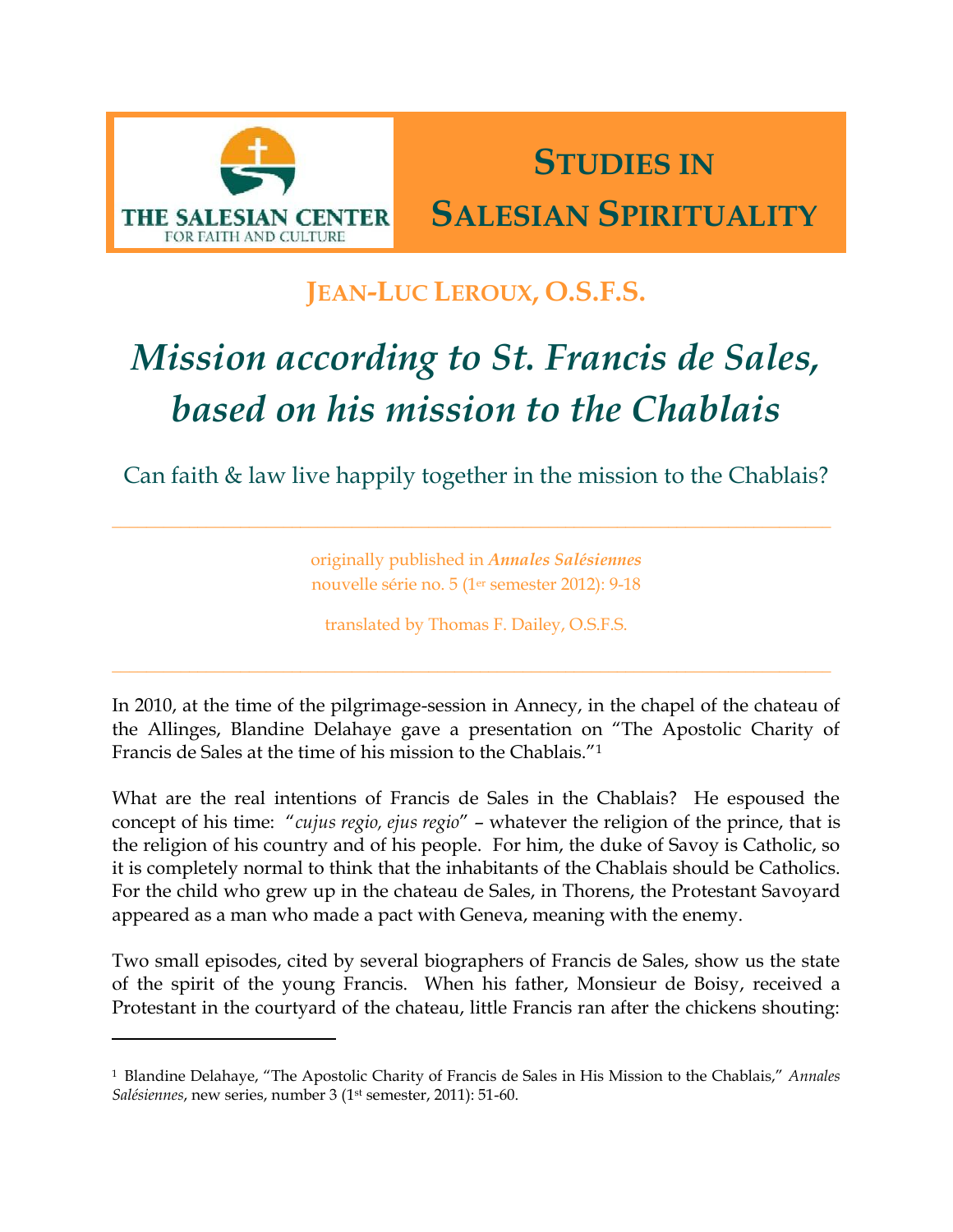

 $\overline{\phantom{a}}$ 

## **STUDIES IN SALESIAN SPIRITUALITY**

### **JEAN-LUC LEROUX, O.S.F.S.**

# *Mission according to St. Francis de Sales, based on his mission to the Chablais*

Can faith & law live happily together in the mission to the Chablais?

originally published in *Annales Salésiennes* nouvelle série no. 5 (1er semester 2012): 9-18

translated by Thomas F. Dailey, O.S.F.S.

In 2010, at the time of the pilgrimage-session in Annecy, in the chapel of the chateau of the Allinges, Blandine Delahaye gave a presentation on "The Apostolic Charity of Francis de Sales at the time of his mission to the Chablais."<sup>1</sup>

What are the real intentions of Francis de Sales in the Chablais? He espoused the concept of his time: "*cujus regio, ejus regio*" – whatever the religion of the prince, that is the religion of his country and of his people. For him, the duke of Savoy is Catholic, so it is completely normal to think that the inhabitants of the Chablais should be Catholics. For the child who grew up in the chateau de Sales, in Thorens, the Protestant Savoyard appeared as a man who made a pact with Geneva, meaning with the enemy.

Two small episodes, cited by several biographers of Francis de Sales, show us the state of the spirit of the young Francis. When his father, Monsieur de Boisy, received a Protestant in the courtyard of the chateau, little Francis ran after the chickens shouting:

<sup>1</sup> Blandine Delahaye, "The Apostolic Charity of Francis de Sales in His Mission to the Chablais," *Annales Salésiennes*, new series, number 3 (1 st semester, 2011): 51-60.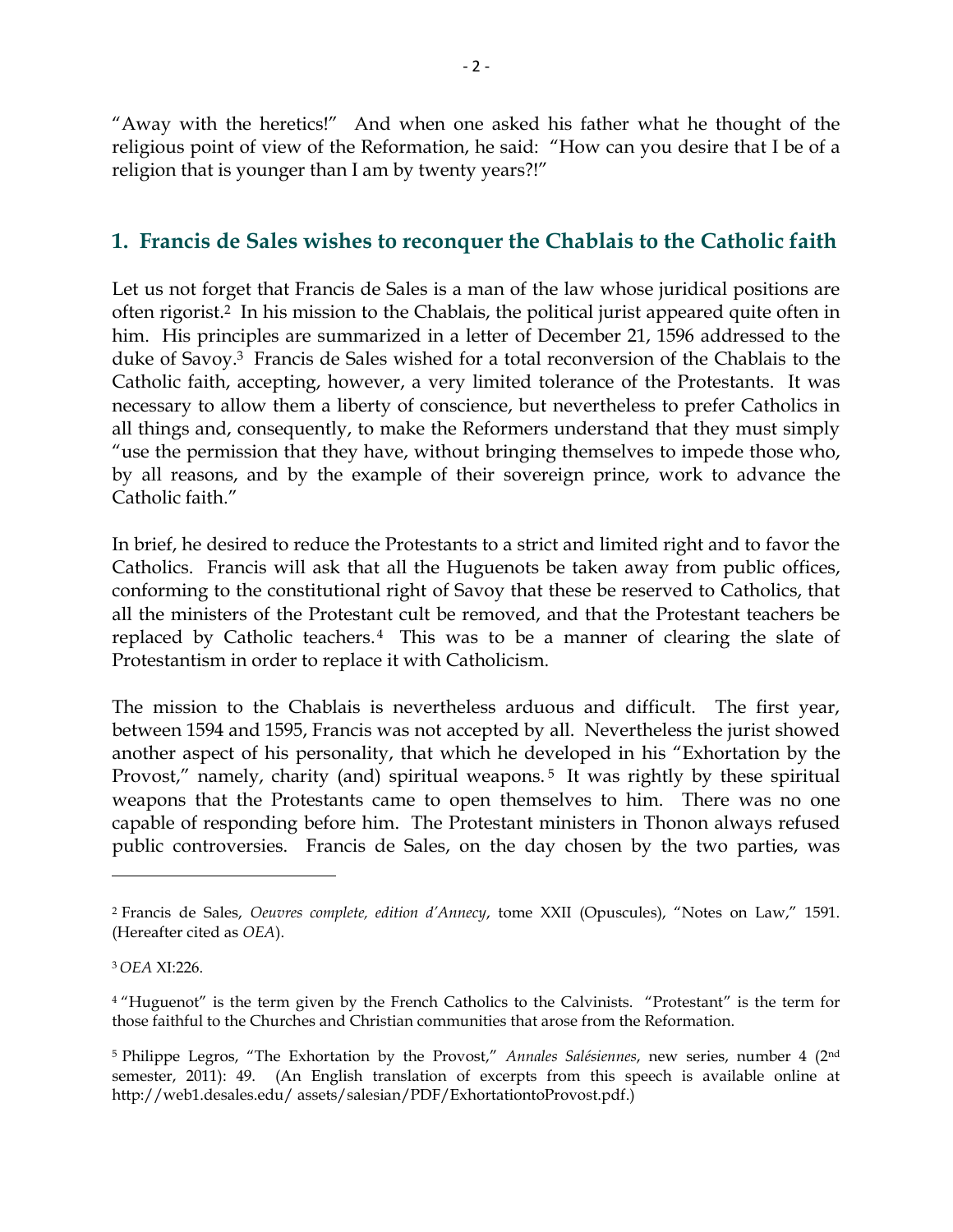"Away with the heretics!" And when one asked his father what he thought of the religious point of view of the Reformation, he said: "How can you desire that I be of a religion that is younger than I am by twenty years?!"

#### **1. Francis de Sales wishes to reconquer the Chablais to the Catholic faith**

Let us not forget that Francis de Sales is a man of the law whose juridical positions are often rigorist.2 In his mission to the Chablais, the political jurist appeared quite often in him. His principles are summarized in a letter of December 21, 1596 addressed to the duke of Savoy.3 Francis de Sales wished for a total reconversion of the Chablais to the Catholic faith, accepting, however, a very limited tolerance of the Protestants. It was necessary to allow them a liberty of conscience, but nevertheless to prefer Catholics in all things and, consequently, to make the Reformers understand that they must simply "use the permission that they have, without bringing themselves to impede those who, by all reasons, and by the example of their sovereign prince, work to advance the Catholic faith."

In brief, he desired to reduce the Protestants to a strict and limited right and to favor the Catholics. Francis will ask that all the Huguenots be taken away from public offices, conforming to the constitutional right of Savoy that these be reserved to Catholics, that all the ministers of the Protestant cult be removed, and that the Protestant teachers be replaced by Catholic teachers.<sup>4</sup> This was to be a manner of clearing the slate of Protestantism in order to replace it with Catholicism.

The mission to the Chablais is nevertheless arduous and difficult. The first year, between 1594 and 1595, Francis was not accepted by all. Nevertheless the jurist showed another aspect of his personality, that which he developed in his "Exhortation by the Provost," namely, charity (and) spiritual weapons.<sup>5</sup> It was rightly by these spiritual weapons that the Protestants came to open themselves to him. There was no one capable of responding before him. The Protestant ministers in Thonon always refused public controversies. Francis de Sales, on the day chosen by the two parties, was

<sup>2</sup> Francis de Sales, *Oeuvres complete, edition d'Annecy*, tome XXII (Opuscules), "Notes on Law," 1591. (Hereafter cited as *OEA*).

<sup>3</sup> *OEA* XI:226.

<sup>4</sup> "Huguenot" is the term given by the French Catholics to the Calvinists. "Protestant" is the term for those faithful to the Churches and Christian communities that arose from the Reformation.

<sup>5</sup> Philippe Legros, "The Exhortation by the Provost," *Annales Salésiennes*, new series, number 4 (2nd semester, 2011): 49. (An English translation of excerpts from this speech is available online at http://web1.desales.edu/ assets/salesian/PDF/ExhortationtoProvost.pdf.)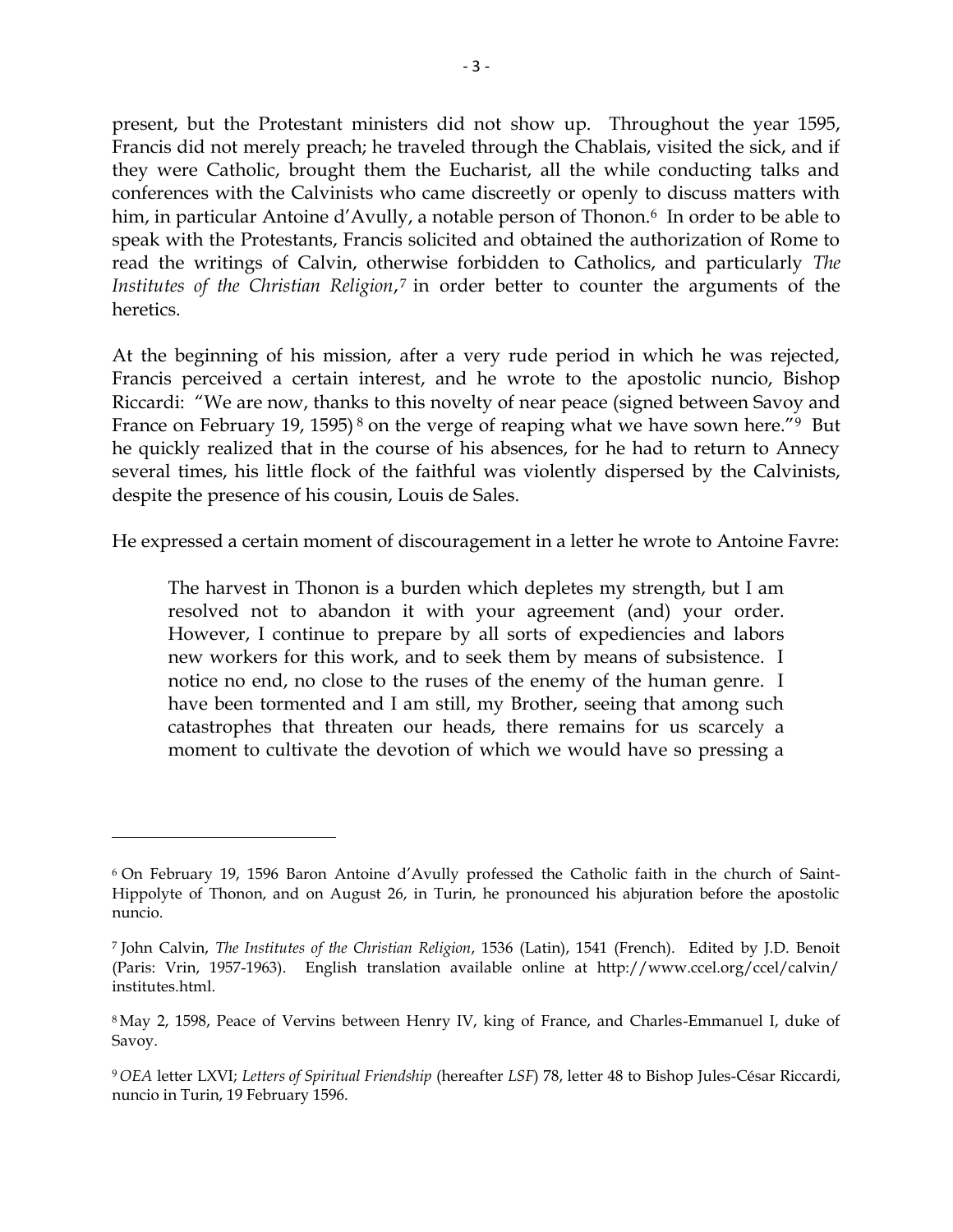present, but the Protestant ministers did not show up. Throughout the year 1595, Francis did not merely preach; he traveled through the Chablais, visited the sick, and if they were Catholic, brought them the Eucharist, all the while conducting talks and conferences with the Calvinists who came discreetly or openly to discuss matters with him, in particular Antoine d'Avully, a notable person of Thonon.<sup>6</sup> In order to be able to speak with the Protestants, Francis solicited and obtained the authorization of Rome to read the writings of Calvin, otherwise forbidden to Catholics, and particularly *The Institutes of the Christian Religion*, <sup>7</sup> in order better to counter the arguments of the heretics.

At the beginning of his mission, after a very rude period in which he was rejected, Francis perceived a certain interest, and he wrote to the apostolic nuncio, Bishop Riccardi: "We are now, thanks to this novelty of near peace (signed between Savoy and France on February 19, 1595)<sup>8</sup> on the verge of reaping what we have sown here.<sup>"9</sup> But he quickly realized that in the course of his absences, for he had to return to Annecy several times, his little flock of the faithful was violently dispersed by the Calvinists, despite the presence of his cousin, Louis de Sales.

He expressed a certain moment of discouragement in a letter he wrote to Antoine Favre:

The harvest in Thonon is a burden which depletes my strength, but I am resolved not to abandon it with your agreement (and) your order. However, I continue to prepare by all sorts of expediencies and labors new workers for this work, and to seek them by means of subsistence. I notice no end, no close to the ruses of the enemy of the human genre. I have been tormented and I am still, my Brother, seeing that among such catastrophes that threaten our heads, there remains for us scarcely a moment to cultivate the devotion of which we would have so pressing a

<sup>6</sup> On February 19, 1596 Baron Antoine d"Avully professed the Catholic faith in the church of Saint-Hippolyte of Thonon, and on August 26, in Turin, he pronounced his abjuration before the apostolic nuncio.

<sup>7</sup> John Calvin, *The Institutes of the Christian Religion*, 1536 (Latin), 1541 (French). Edited by J.D. Benoit (Paris: Vrin, 1957-1963). English translation available online at http://www.ccel.org/ccel/calvin/ institutes.html.

<sup>8</sup> May 2, 1598, Peace of Vervins between Henry IV, king of France, and Charles-Emmanuel I, duke of Savoy.

<sup>9</sup> *OEA* letter LXVI; *Letters of Spiritual Friendship* (hereafter *LSF*) 78, letter 48 to Bishop Jules-César Riccardi, nuncio in Turin, 19 February 1596.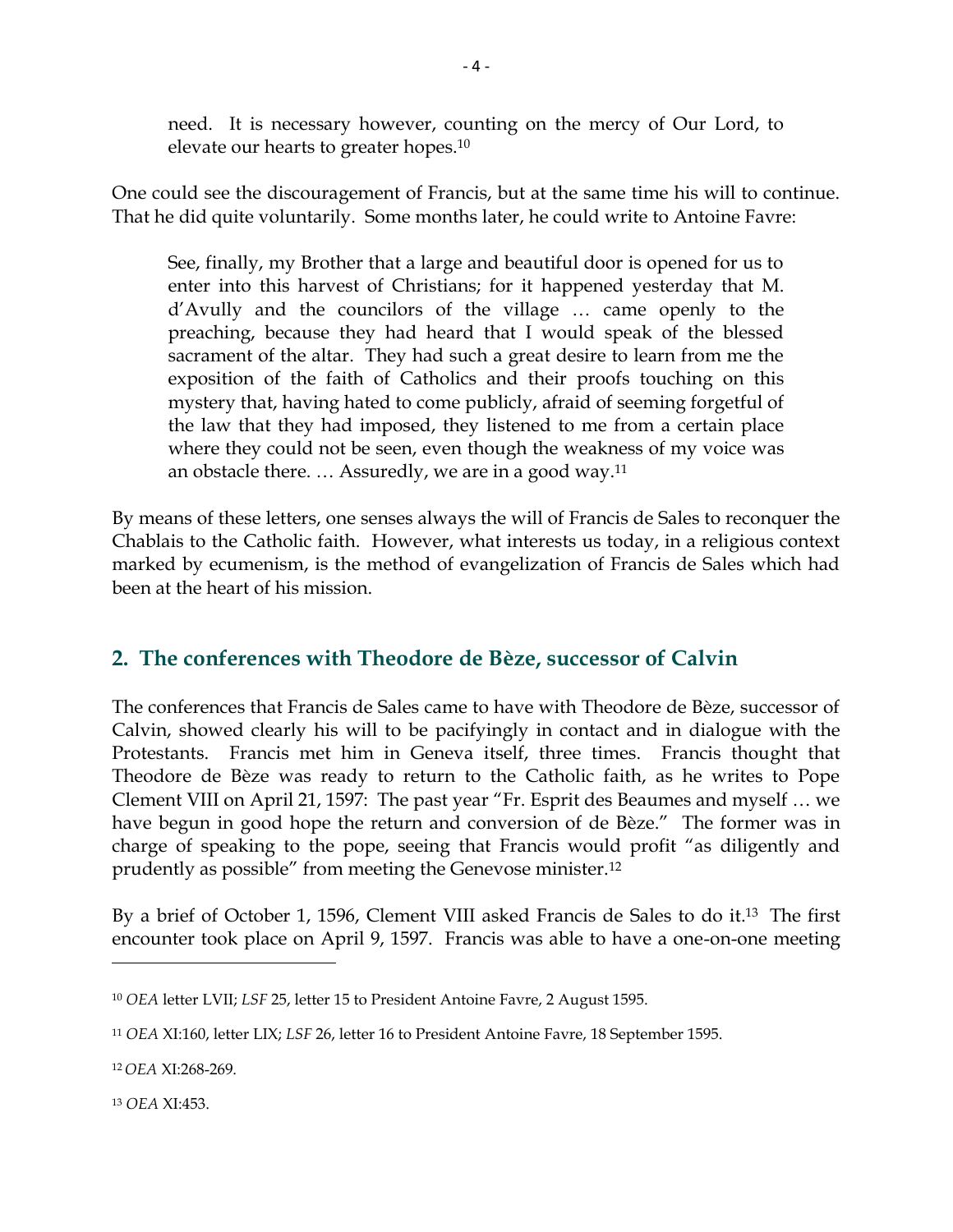need. It is necessary however, counting on the mercy of Our Lord, to elevate our hearts to greater hopes.<sup>10</sup>

One could see the discouragement of Francis, but at the same time his will to continue. That he did quite voluntarily. Some months later, he could write to Antoine Favre:

See, finally, my Brother that a large and beautiful door is opened for us to enter into this harvest of Christians; for it happened yesterday that M. d"Avully and the councilors of the village … came openly to the preaching, because they had heard that I would speak of the blessed sacrament of the altar. They had such a great desire to learn from me the exposition of the faith of Catholics and their proofs touching on this mystery that, having hated to come publicly, afraid of seeming forgetful of the law that they had imposed, they listened to me from a certain place where they could not be seen, even though the weakness of my voice was an obstacle there. … Assuredly, we are in a good way.<sup>11</sup>

By means of these letters, one senses always the will of Francis de Sales to reconquer the Chablais to the Catholic faith. However, what interests us today, in a religious context marked by ecumenism, is the method of evangelization of Francis de Sales which had been at the heart of his mission.

#### **2. The conferences with Theodore de Bèze, successor of Calvin**

The conferences that Francis de Sales came to have with Theodore de Bèze, successor of Calvin, showed clearly his will to be pacifyingly in contact and in dialogue with the Protestants. Francis met him in Geneva itself, three times. Francis thought that Theodore de Bèze was ready to return to the Catholic faith, as he writes to Pope Clement VIII on April 21, 1597: The past year "Fr. Esprit des Beaumes and myself … we have begun in good hope the return and conversion of de Bèze." The former was in charge of speaking to the pope, seeing that Francis would profit "as diligently and prudently as possible" from meeting the Genevose minister.<sup>12</sup>

By a brief of October 1, 1596, Clement VIII asked Francis de Sales to do it.13 The first encounter took place on April 9, 1597. Francis was able to have a one-on-one meeting

<sup>13</sup> *OEA* XI:453.

l

<sup>10</sup> *OEA* letter LVII; *LSF* 25, letter 15 to President Antoine Favre, 2 August 1595.

<sup>11</sup> *OEA* XI:160, letter LIX; *LSF* 26, letter 16 to President Antoine Favre, 18 September 1595.

<sup>12</sup> *OEA* XI:268-269.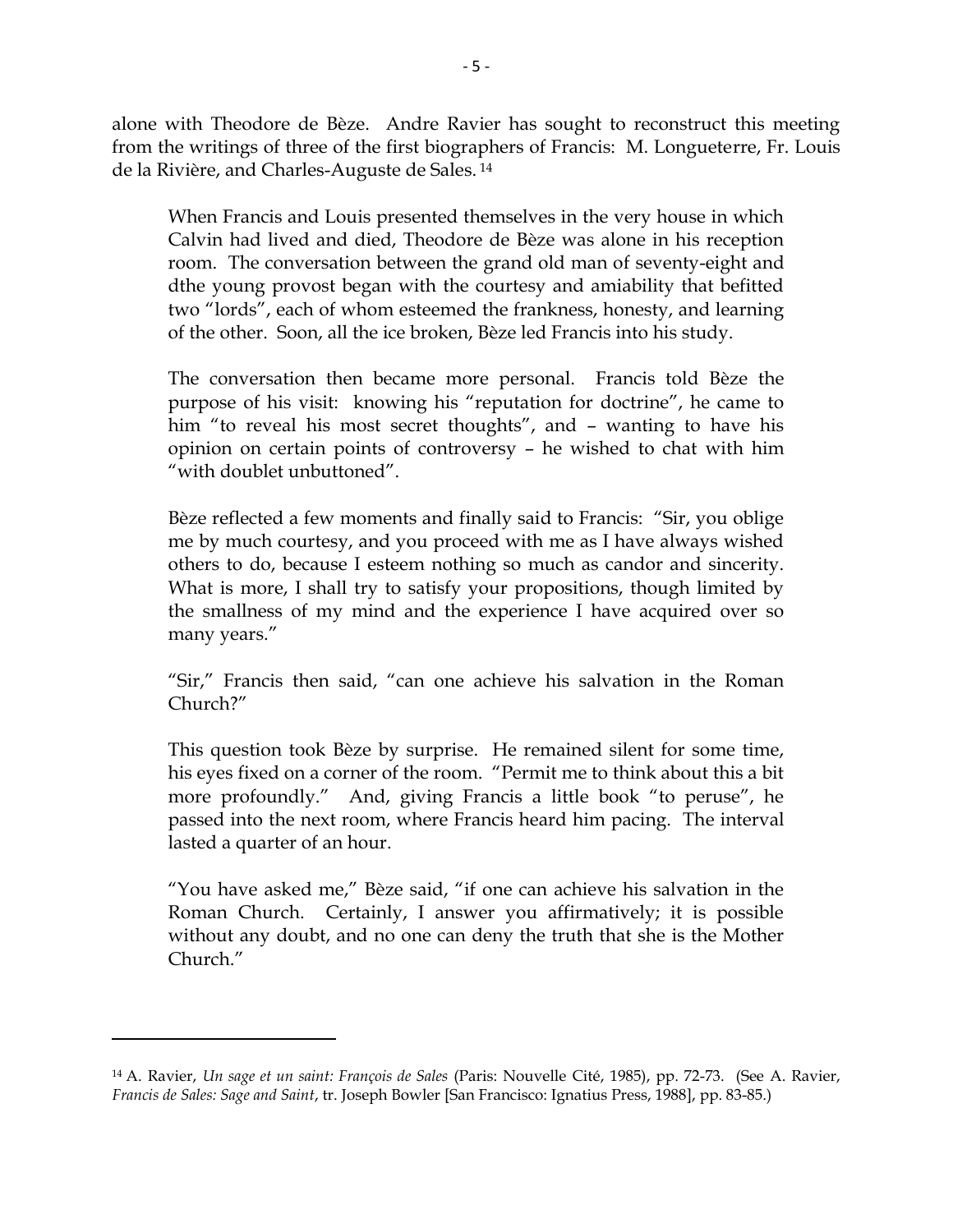alone with Theodore de Bèze. Andre Ravier has sought to reconstruct this meeting from the writings of three of the first biographers of Francis: M. Longueterre, Fr. Louis de la Rivière, and Charles-Auguste de Sales. <sup>14</sup>

When Francis and Louis presented themselves in the very house in which Calvin had lived and died, Theodore de Bèze was alone in his reception room. The conversation between the grand old man of seventy-eight and dthe young provost began with the courtesy and amiability that befitted two "lords", each of whom esteemed the frankness, honesty, and learning of the other. Soon, all the ice broken, Bèze led Francis into his study.

The conversation then became more personal. Francis told Bèze the purpose of his visit: knowing his "reputation for doctrine", he came to him "to reveal his most secret thoughts", and - wanting to have his opinion on certain points of controversy – he wished to chat with him "with doublet unbuttoned".

Bèze reflected a few moments and finally said to Francis: "Sir, you oblige me by much courtesy, and you proceed with me as I have always wished others to do, because I esteem nothing so much as candor and sincerity. What is more, I shall try to satisfy your propositions, though limited by the smallness of my mind and the experience I have acquired over so many years."

"Sir," Francis then said, "can one achieve his salvation in the Roman Church?"

This question took Bèze by surprise. He remained silent for some time, his eyes fixed on a corner of the room. "Permit me to think about this a bit more profoundly." And, giving Francis a little book "to peruse", he passed into the next room, where Francis heard him pacing. The interval lasted a quarter of an hour.

"You have asked me," Bèze said, "if one can achieve his salvation in the Roman Church. Certainly, I answer you affirmatively; it is possible without any doubt, and no one can deny the truth that she is the Mother Church."

<sup>14</sup> A. Ravier, *Un sage et un saint: François de Sales* (Paris: Nouvelle Cité, 1985), pp. 72-73. (See A. Ravier, *Francis de Sales: Sage and Saint*, tr. Joseph Bowler [San Francisco: Ignatius Press, 1988], pp. 83-85.)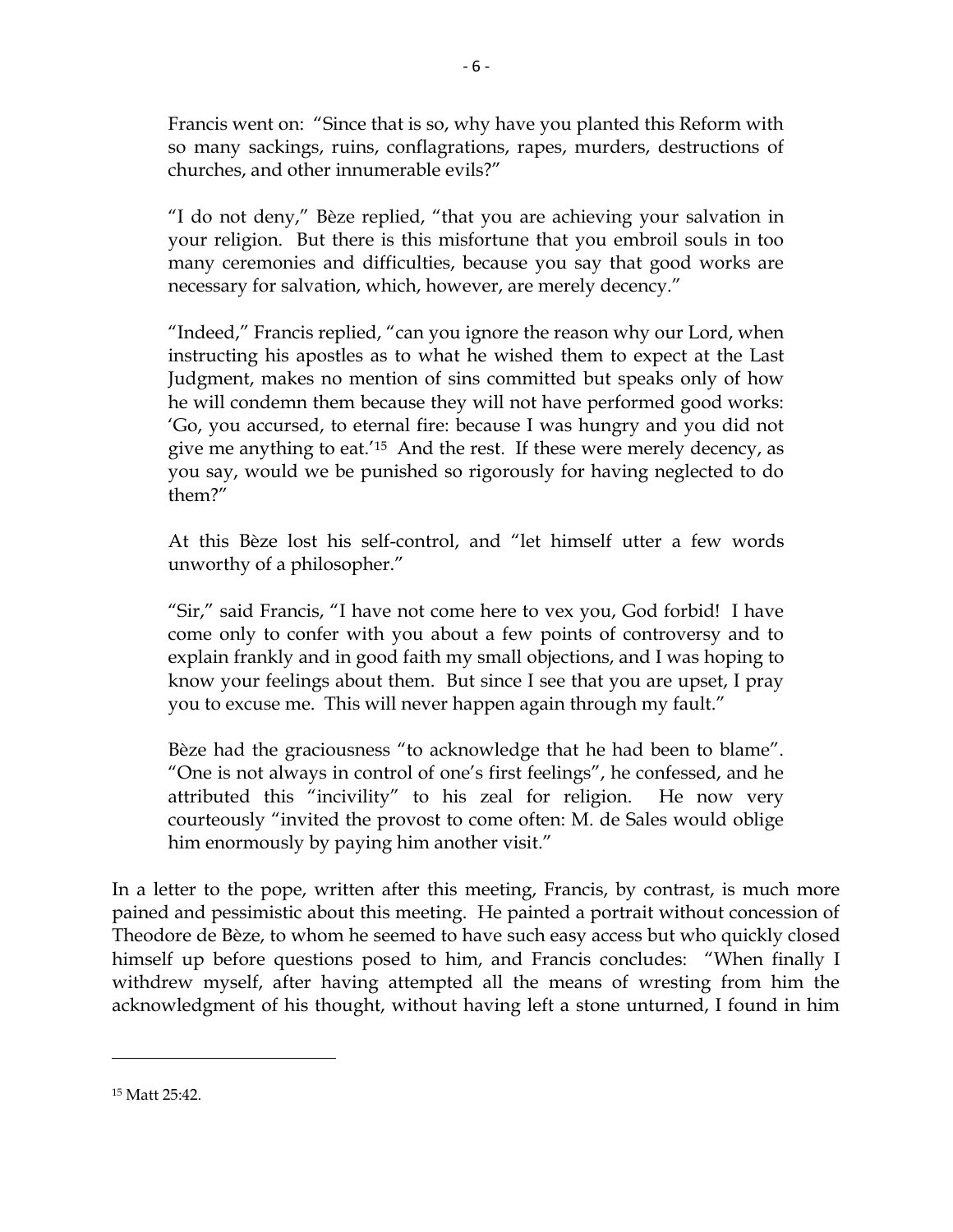Francis went on: "Since that is so, why have you planted this Reform with so many sackings, ruins, conflagrations, rapes, murders, destructions of churches, and other innumerable evils?"

"I do not deny," Bèze replied, "that you are achieving your salvation in your religion. But there is this misfortune that you embroil souls in too many ceremonies and difficulties, because you say that good works are necessary for salvation, which, however, are merely decency."

"Indeed," Francis replied, "can you ignore the reason why our Lord, when instructing his apostles as to what he wished them to expect at the Last Judgment, makes no mention of sins committed but speaks only of how he will condemn them because they will not have performed good works: "Go, you accursed, to eternal fire: because I was hungry and you did not give me anything to eat.<sup>'15</sup> And the rest. If these were merely decency, as you say, would we be punished so rigorously for having neglected to do them?"

At this Bèze lost his self-control, and "let himself utter a few words unworthy of a philosopher."

"Sir," said Francis, "I have not come here to vex you, God forbid! I have come only to confer with you about a few points of controversy and to explain frankly and in good faith my small objections, and I was hoping to know your feelings about them. But since I see that you are upset, I pray you to excuse me. This will never happen again through my fault."

Bèze had the graciousness "to acknowledge that he had been to blame". "One is not always in control of one"s first feelings", he confessed, and he attributed this "incivility" to his zeal for religion. He now very courteously "invited the provost to come often: M. de Sales would oblige him enormously by paying him another visit."

In a letter to the pope, written after this meeting, Francis, by contrast, is much more pained and pessimistic about this meeting. He painted a portrait without concession of Theodore de Bèze, to whom he seemed to have such easy access but who quickly closed himself up before questions posed to him, and Francis concludes: "When finally I withdrew myself, after having attempted all the means of wresting from him the acknowledgment of his thought, without having left a stone unturned, I found in him

<sup>15</sup> Matt 25:42.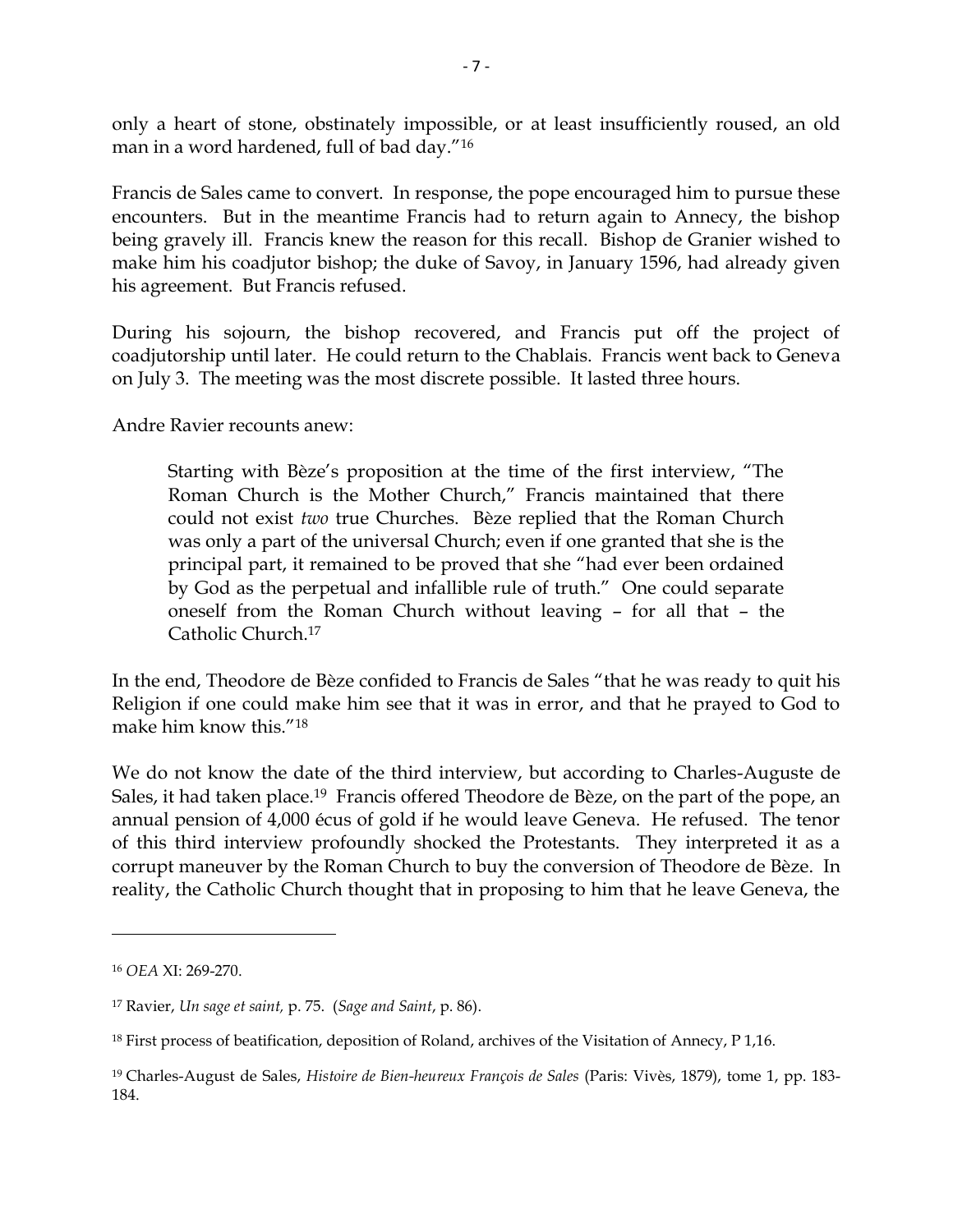only a heart of stone, obstinately impossible, or at least insufficiently roused, an old man in a word hardened, full of bad day."<sup>16</sup>

Francis de Sales came to convert. In response, the pope encouraged him to pursue these encounters. But in the meantime Francis had to return again to Annecy, the bishop being gravely ill. Francis knew the reason for this recall. Bishop de Granier wished to make him his coadjutor bishop; the duke of Savoy, in January 1596, had already given his agreement. But Francis refused.

During his sojourn, the bishop recovered, and Francis put off the project of coadjutorship until later. He could return to the Chablais. Francis went back to Geneva on July 3. The meeting was the most discrete possible. It lasted three hours.

Andre Ravier recounts anew:

Starting with Bèze"s proposition at the time of the first interview, "The Roman Church is the Mother Church," Francis maintained that there could not exist *two* true Churches. Bèze replied that the Roman Church was only a part of the universal Church; even if one granted that she is the principal part, it remained to be proved that she "had ever been ordained by God as the perpetual and infallible rule of truth." One could separate oneself from the Roman Church without leaving – for all that – the Catholic Church.<sup>17</sup>

In the end, Theodore de Bèze confided to Francis de Sales "that he was ready to quit his Religion if one could make him see that it was in error, and that he prayed to God to make him know this."<sup>18</sup>

We do not know the date of the third interview, but according to Charles-Auguste de Sales, it had taken place.<sup>19</sup> Francis offered Theodore de Bèze, on the part of the pope, an annual pension of 4,000 écus of gold if he would leave Geneva. He refused. The tenor of this third interview profoundly shocked the Protestants. They interpreted it as a corrupt maneuver by the Roman Church to buy the conversion of Theodore de Bèze. In reality, the Catholic Church thought that in proposing to him that he leave Geneva, the

 $\overline{a}$ 

<sup>16</sup> *OEA* XI: 269-270.

<sup>17</sup> Ravier, *Un sage et saint,* p. 75. (*Sage and Saint*, p. 86).

<sup>18</sup> First process of beatification, deposition of Roland, archives of the Visitation of Annecy, P 1,16.

<sup>19</sup> Charles-August de Sales, *Histoire de Bien-heureux François de Sales* (Paris: Vivès, 1879), tome 1, pp. 183- 184.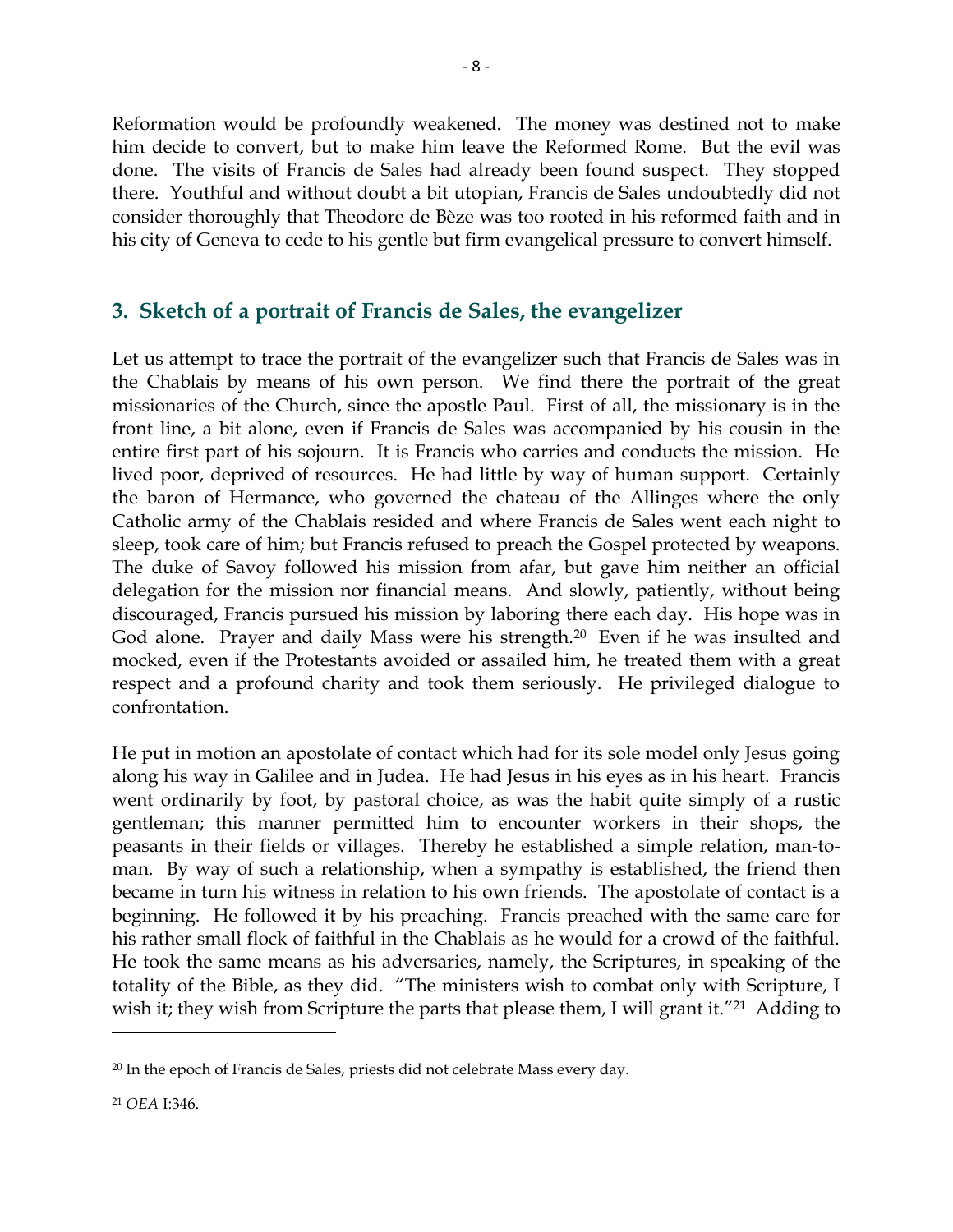Reformation would be profoundly weakened. The money was destined not to make him decide to convert, but to make him leave the Reformed Rome. But the evil was done. The visits of Francis de Sales had already been found suspect. They stopped there. Youthful and without doubt a bit utopian, Francis de Sales undoubtedly did not consider thoroughly that Theodore de Bèze was too rooted in his reformed faith and in his city of Geneva to cede to his gentle but firm evangelical pressure to convert himself.

#### **3. Sketch of a portrait of Francis de Sales, the evangelizer**

Let us attempt to trace the portrait of the evangelizer such that Francis de Sales was in the Chablais by means of his own person. We find there the portrait of the great missionaries of the Church, since the apostle Paul. First of all, the missionary is in the front line, a bit alone, even if Francis de Sales was accompanied by his cousin in the entire first part of his sojourn. It is Francis who carries and conducts the mission. He lived poor, deprived of resources. He had little by way of human support. Certainly the baron of Hermance, who governed the chateau of the Allinges where the only Catholic army of the Chablais resided and where Francis de Sales went each night to sleep, took care of him; but Francis refused to preach the Gospel protected by weapons. The duke of Savoy followed his mission from afar, but gave him neither an official delegation for the mission nor financial means. And slowly, patiently, without being discouraged, Francis pursued his mission by laboring there each day. His hope was in God alone. Prayer and daily Mass were his strength.<sup>20</sup> Even if he was insulted and mocked, even if the Protestants avoided or assailed him, he treated them with a great respect and a profound charity and took them seriously. He privileged dialogue to confrontation.

He put in motion an apostolate of contact which had for its sole model only Jesus going along his way in Galilee and in Judea. He had Jesus in his eyes as in his heart. Francis went ordinarily by foot, by pastoral choice, as was the habit quite simply of a rustic gentleman; this manner permitted him to encounter workers in their shops, the peasants in their fields or villages. Thereby he established a simple relation, man-toman. By way of such a relationship, when a sympathy is established, the friend then became in turn his witness in relation to his own friends. The apostolate of contact is a beginning. He followed it by his preaching. Francis preached with the same care for his rather small flock of faithful in the Chablais as he would for a crowd of the faithful. He took the same means as his adversaries, namely, the Scriptures, in speaking of the totality of the Bible, as they did. "The ministers wish to combat only with Scripture, I wish it; they wish from Scripture the parts that please them, I will grant it."<sup>21</sup> Adding to

<sup>&</sup>lt;sup>20</sup> In the epoch of Francis de Sales, priests did not celebrate Mass every day.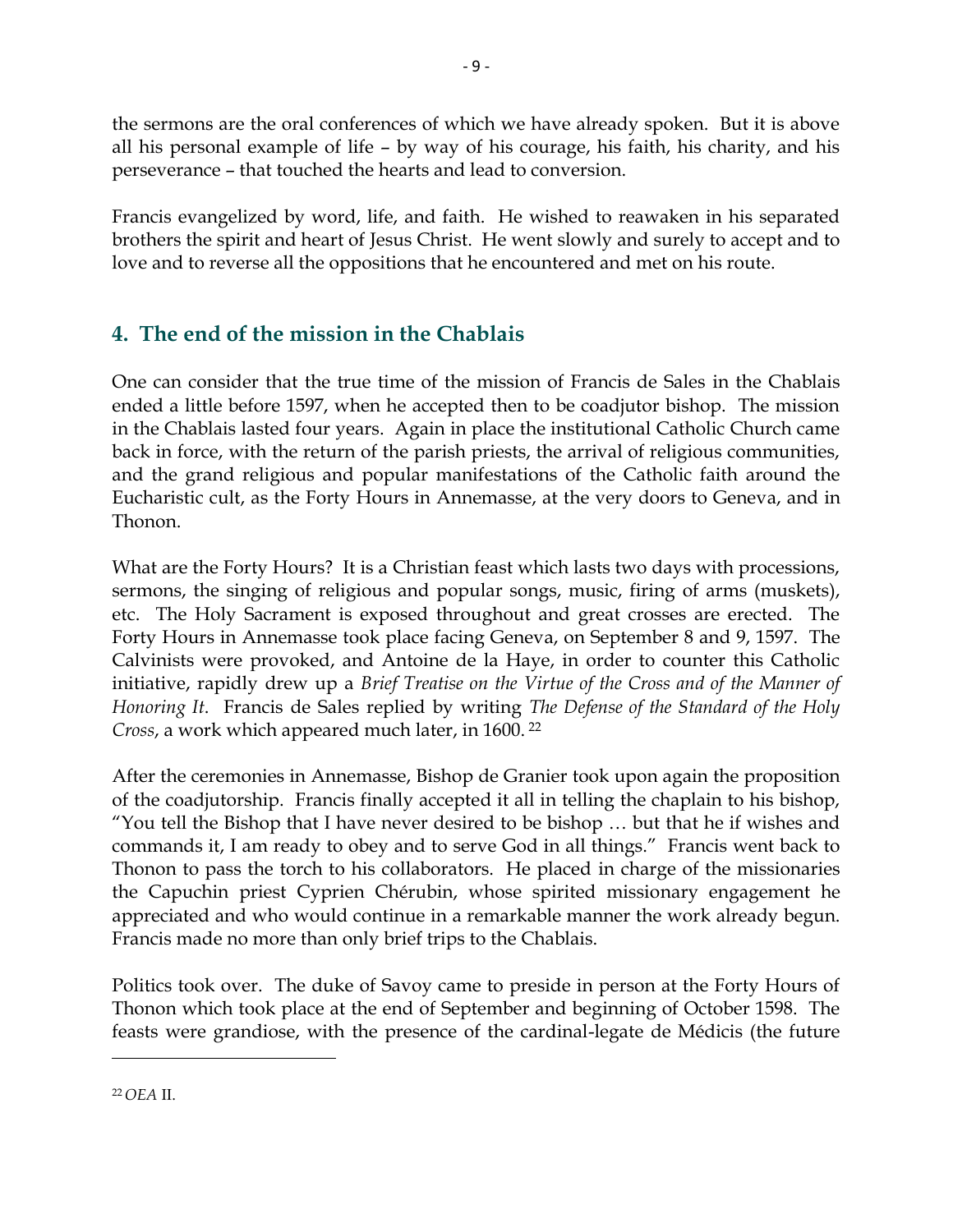the sermons are the oral conferences of which we have already spoken. But it is above all his personal example of life – by way of his courage, his faith, his charity, and his perseverance – that touched the hearts and lead to conversion.

Francis evangelized by word, life, and faith. He wished to reawaken in his separated brothers the spirit and heart of Jesus Christ. He went slowly and surely to accept and to love and to reverse all the oppositions that he encountered and met on his route.

#### **4. The end of the mission in the Chablais**

One can consider that the true time of the mission of Francis de Sales in the Chablais ended a little before 1597, when he accepted then to be coadjutor bishop. The mission in the Chablais lasted four years. Again in place the institutional Catholic Church came back in force, with the return of the parish priests, the arrival of religious communities, and the grand religious and popular manifestations of the Catholic faith around the Eucharistic cult, as the Forty Hours in Annemasse, at the very doors to Geneva, and in Thonon.

What are the Forty Hours? It is a Christian feast which lasts two days with processions, sermons, the singing of religious and popular songs, music, firing of arms (muskets), etc. The Holy Sacrament is exposed throughout and great crosses are erected. The Forty Hours in Annemasse took place facing Geneva, on September 8 and 9, 1597. The Calvinists were provoked, and Antoine de la Haye, in order to counter this Catholic initiative, rapidly drew up a *Brief Treatise on the Virtue of the Cross and of the Manner of Honoring It*. Francis de Sales replied by writing *The Defense of the Standard of the Holy Cross*, a work which appeared much later, in 1600. <sup>22</sup>

After the ceremonies in Annemasse, Bishop de Granier took upon again the proposition of the coadjutorship. Francis finally accepted it all in telling the chaplain to his bishop, "You tell the Bishop that I have never desired to be bishop … but that he if wishes and commands it, I am ready to obey and to serve God in all things." Francis went back to Thonon to pass the torch to his collaborators. He placed in charge of the missionaries the Capuchin priest Cyprien Chérubin, whose spirited missionary engagement he appreciated and who would continue in a remarkable manner the work already begun. Francis made no more than only brief trips to the Chablais.

Politics took over. The duke of Savoy came to preside in person at the Forty Hours of Thonon which took place at the end of September and beginning of October 1598. The feasts were grandiose, with the presence of the cardinal-legate de Médicis (the future

<sup>22</sup> *OEA* II.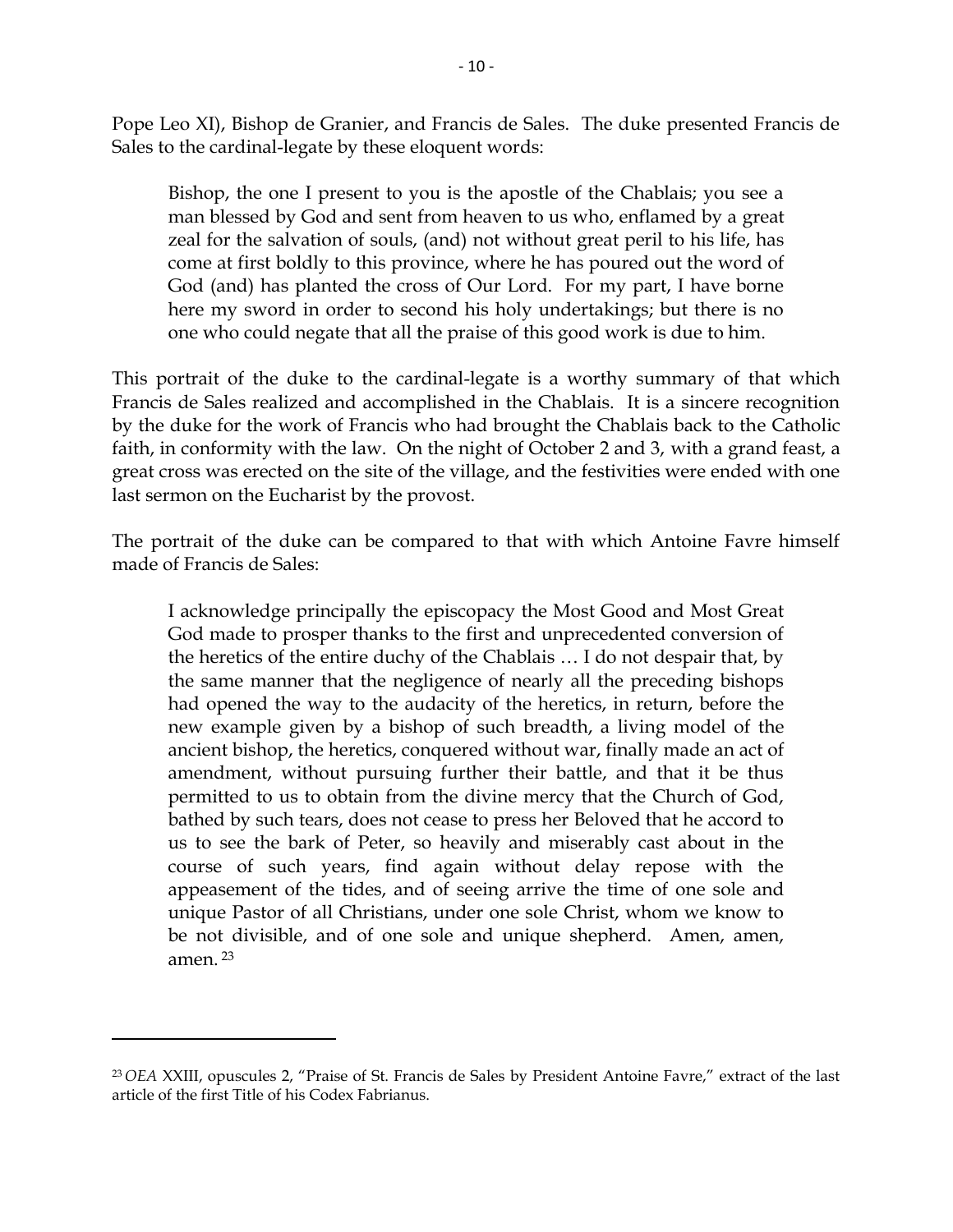Pope Leo XI), Bishop de Granier, and Francis de Sales. The duke presented Francis de Sales to the cardinal-legate by these eloquent words:

Bishop, the one I present to you is the apostle of the Chablais; you see a man blessed by God and sent from heaven to us who, enflamed by a great zeal for the salvation of souls, (and) not without great peril to his life, has come at first boldly to this province, where he has poured out the word of God (and) has planted the cross of Our Lord. For my part, I have borne here my sword in order to second his holy undertakings; but there is no one who could negate that all the praise of this good work is due to him.

This portrait of the duke to the cardinal-legate is a worthy summary of that which Francis de Sales realized and accomplished in the Chablais. It is a sincere recognition by the duke for the work of Francis who had brought the Chablais back to the Catholic faith, in conformity with the law. On the night of October 2 and 3, with a grand feast, a great cross was erected on the site of the village, and the festivities were ended with one last sermon on the Eucharist by the provost.

The portrait of the duke can be compared to that with which Antoine Favre himself made of Francis de Sales:

I acknowledge principally the episcopacy the Most Good and Most Great God made to prosper thanks to the first and unprecedented conversion of the heretics of the entire duchy of the Chablais … I do not despair that, by the same manner that the negligence of nearly all the preceding bishops had opened the way to the audacity of the heretics, in return, before the new example given by a bishop of such breadth, a living model of the ancient bishop, the heretics, conquered without war, finally made an act of amendment, without pursuing further their battle, and that it be thus permitted to us to obtain from the divine mercy that the Church of God, bathed by such tears, does not cease to press her Beloved that he accord to us to see the bark of Peter, so heavily and miserably cast about in the course of such years, find again without delay repose with the appeasement of the tides, and of seeing arrive the time of one sole and unique Pastor of all Christians, under one sole Christ, whom we know to be not divisible, and of one sole and unique shepherd. Amen, amen, amen. <sup>23</sup>

<sup>23</sup> *OEA* XXIII, opuscules 2, "Praise of St. Francis de Sales by President Antoine Favre," extract of the last article of the first Title of his Codex Fabrianus.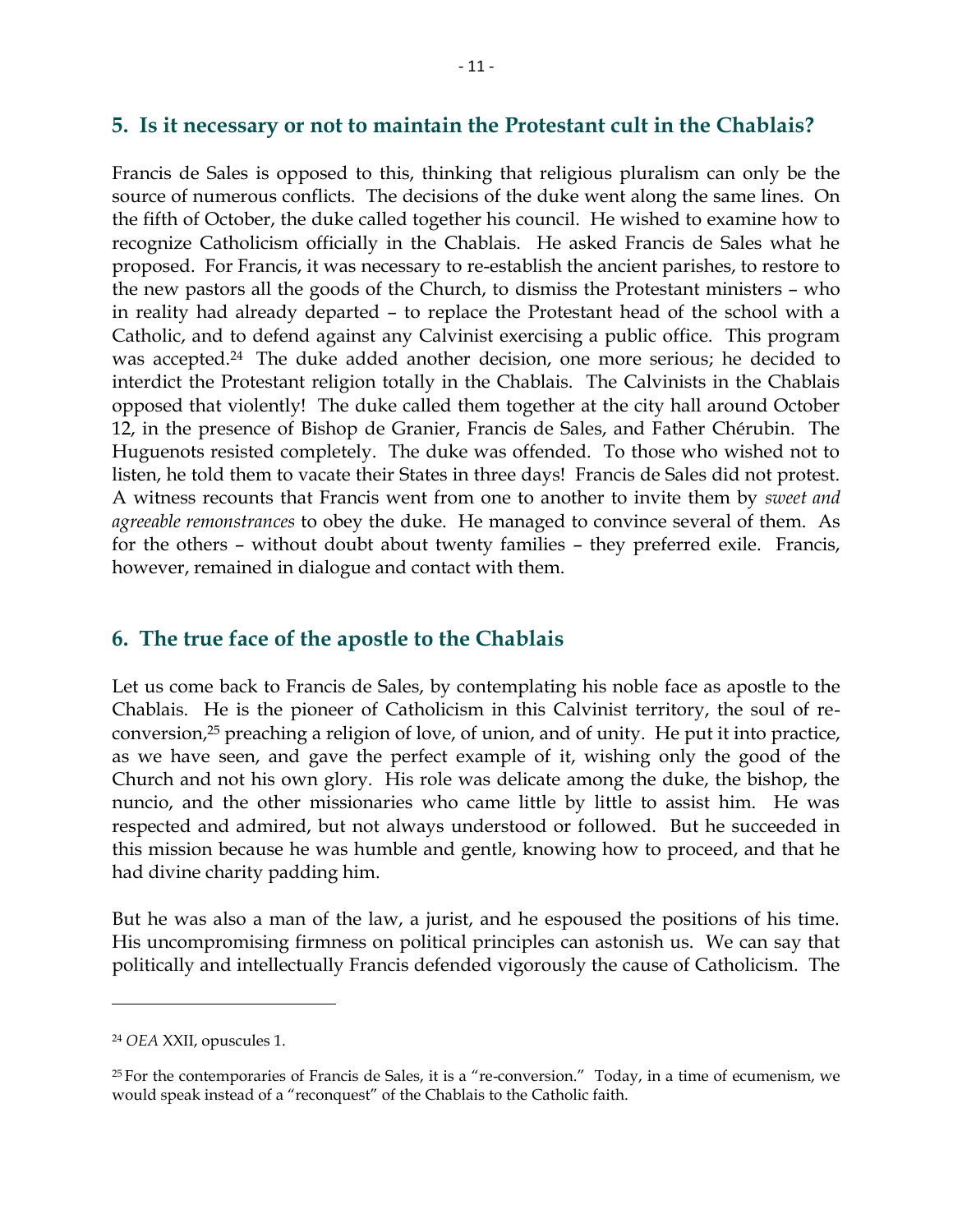#### **5. Is it necessary or not to maintain the Protestant cult in the Chablais?**

Francis de Sales is opposed to this, thinking that religious pluralism can only be the source of numerous conflicts. The decisions of the duke went along the same lines. On the fifth of October, the duke called together his council. He wished to examine how to recognize Catholicism officially in the Chablais. He asked Francis de Sales what he proposed. For Francis, it was necessary to re-establish the ancient parishes, to restore to the new pastors all the goods of the Church, to dismiss the Protestant ministers – who in reality had already departed – to replace the Protestant head of the school with a Catholic, and to defend against any Calvinist exercising a public office. This program was accepted.<sup>24</sup> The duke added another decision, one more serious; he decided to interdict the Protestant religion totally in the Chablais. The Calvinists in the Chablais opposed that violently! The duke called them together at the city hall around October 12, in the presence of Bishop de Granier, Francis de Sales, and Father Chérubin. The Huguenots resisted completely. The duke was offended. To those who wished not to listen, he told them to vacate their States in three days! Francis de Sales did not protest. A witness recounts that Francis went from one to another to invite them by *sweet and agreeable remonstrances* to obey the duke. He managed to convince several of them. As for the others – without doubt about twenty families – they preferred exile. Francis, however, remained in dialogue and contact with them.

#### **6. The true face of the apostle to the Chablais**

Let us come back to Francis de Sales, by contemplating his noble face as apostle to the Chablais. He is the pioneer of Catholicism in this Calvinist territory, the soul of reconversion,<sup>25</sup> preaching a religion of love, of union, and of unity. He put it into practice, as we have seen, and gave the perfect example of it, wishing only the good of the Church and not his own glory. His role was delicate among the duke, the bishop, the nuncio, and the other missionaries who came little by little to assist him. He was respected and admired, but not always understood or followed. But he succeeded in this mission because he was humble and gentle, knowing how to proceed, and that he had divine charity padding him.

But he was also a man of the law, a jurist, and he espoused the positions of his time. His uncompromising firmness on political principles can astonish us. We can say that politically and intellectually Francis defended vigorously the cause of Catholicism. The

<sup>24</sup> *OEA* XXII, opuscules 1.

<sup>&</sup>lt;sup>25</sup> For the contemporaries of Francis de Sales, it is a "re-conversion." Today, in a time of ecumenism, we would speak instead of a "reconquest" of the Chablais to the Catholic faith.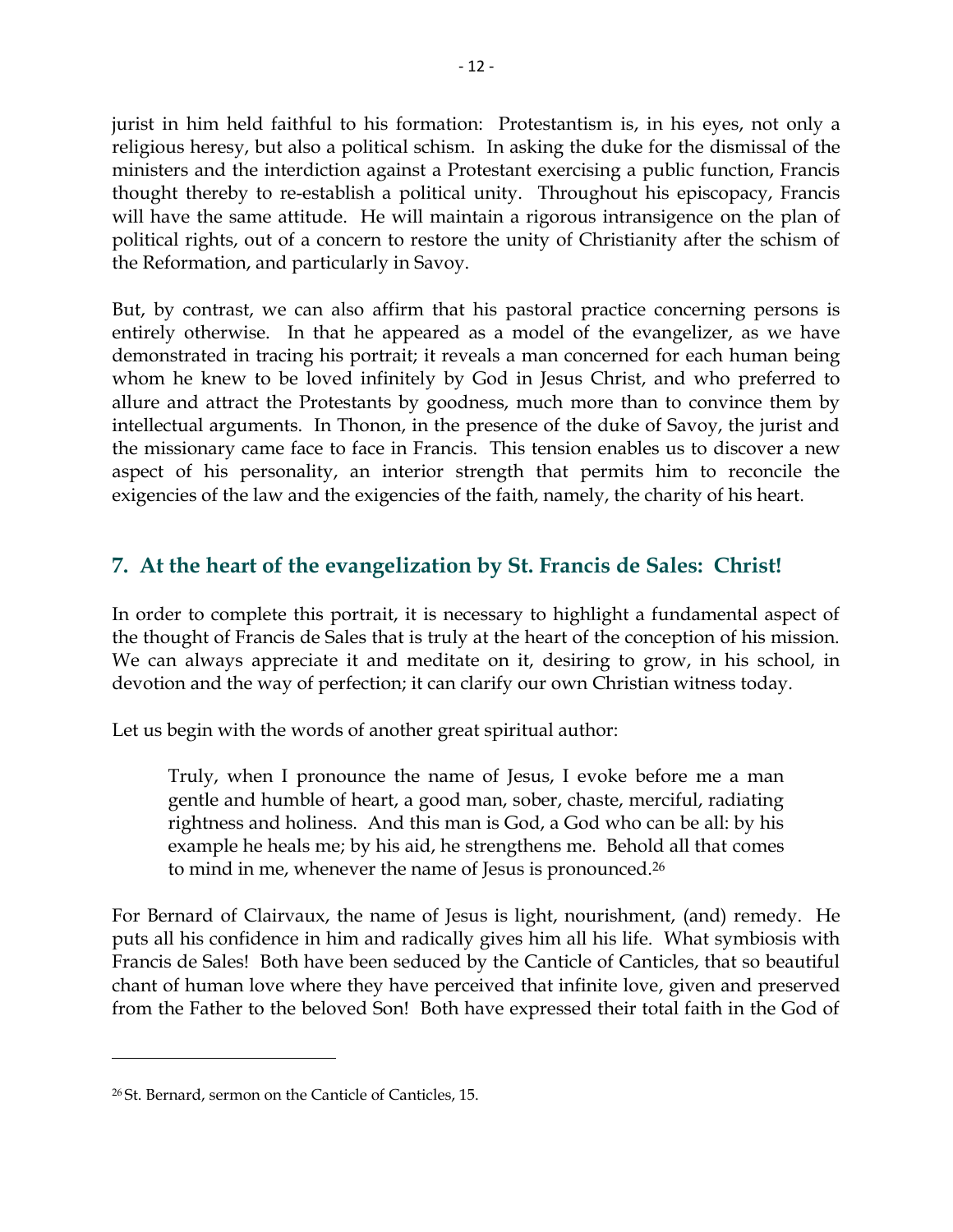jurist in him held faithful to his formation: Protestantism is, in his eyes, not only a religious heresy, but also a political schism. In asking the duke for the dismissal of the ministers and the interdiction against a Protestant exercising a public function, Francis thought thereby to re-establish a political unity. Throughout his episcopacy, Francis will have the same attitude. He will maintain a rigorous intransigence on the plan of political rights, out of a concern to restore the unity of Christianity after the schism of the Reformation, and particularly in Savoy.

But, by contrast, we can also affirm that his pastoral practice concerning persons is entirely otherwise. In that he appeared as a model of the evangelizer, as we have demonstrated in tracing his portrait; it reveals a man concerned for each human being whom he knew to be loved infinitely by God in Jesus Christ, and who preferred to allure and attract the Protestants by goodness, much more than to convince them by intellectual arguments. In Thonon, in the presence of the duke of Savoy, the jurist and the missionary came face to face in Francis. This tension enables us to discover a new aspect of his personality, an interior strength that permits him to reconcile the exigencies of the law and the exigencies of the faith, namely, the charity of his heart.

#### **7. At the heart of the evangelization by St. Francis de Sales: Christ!**

In order to complete this portrait, it is necessary to highlight a fundamental aspect of the thought of Francis de Sales that is truly at the heart of the conception of his mission. We can always appreciate it and meditate on it, desiring to grow, in his school, in devotion and the way of perfection; it can clarify our own Christian witness today.

Let us begin with the words of another great spiritual author:

Truly, when I pronounce the name of Jesus, I evoke before me a man gentle and humble of heart, a good man, sober, chaste, merciful, radiating rightness and holiness. And this man is God, a God who can be all: by his example he heals me; by his aid, he strengthens me. Behold all that comes to mind in me, whenever the name of Jesus is pronounced.<sup>26</sup>

For Bernard of Clairvaux, the name of Jesus is light, nourishment, (and) remedy. He puts all his confidence in him and radically gives him all his life. What symbiosis with Francis de Sales! Both have been seduced by the Canticle of Canticles, that so beautiful chant of human love where they have perceived that infinite love, given and preserved from the Father to the beloved Son! Both have expressed their total faith in the God of

<sup>26</sup> St. Bernard, sermon on the Canticle of Canticles, 15.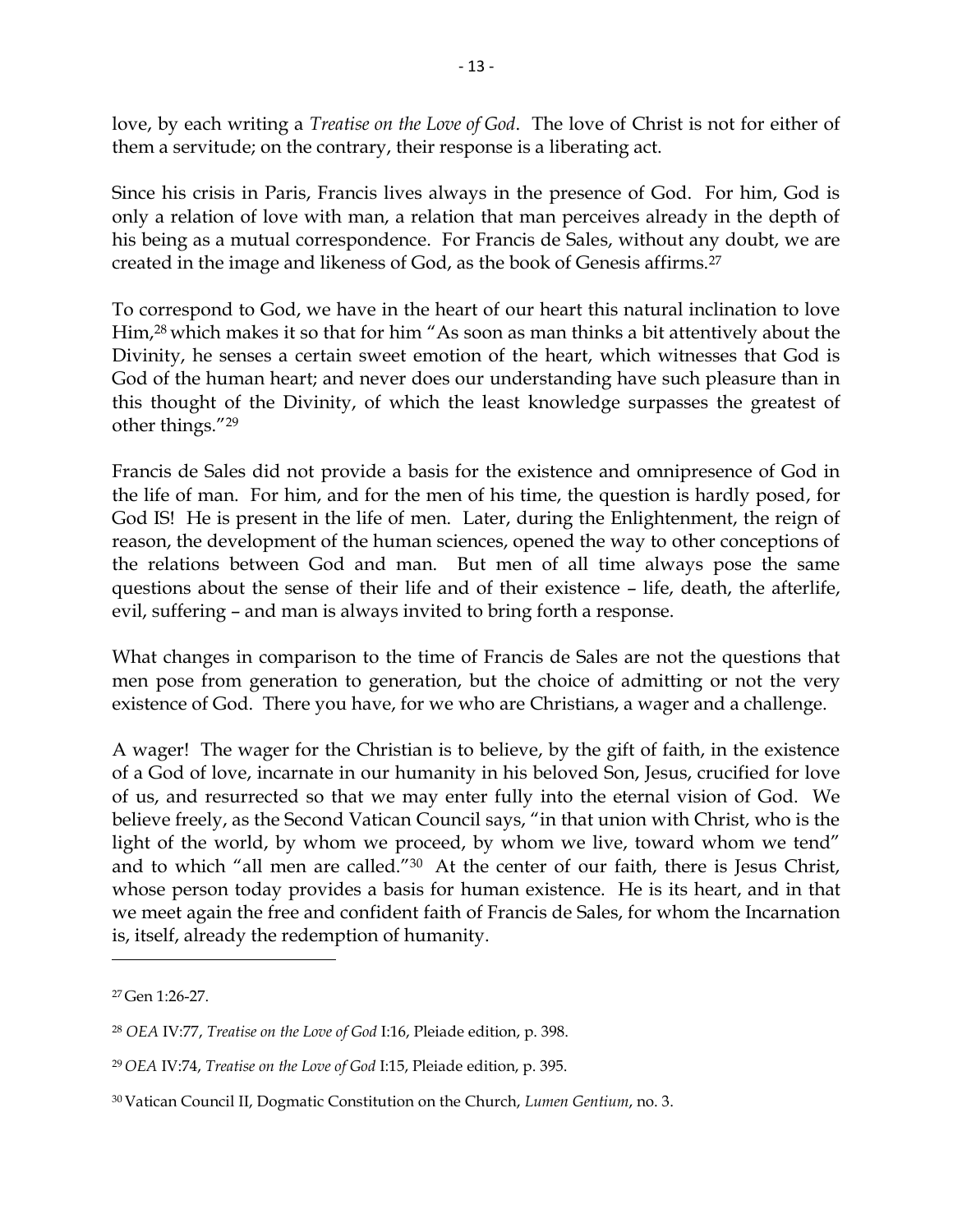love, by each writing a *Treatise on the Love of God*. The love of Christ is not for either of them a servitude; on the contrary, their response is a liberating act.

Since his crisis in Paris, Francis lives always in the presence of God. For him, God is only a relation of love with man, a relation that man perceives already in the depth of his being as a mutual correspondence. For Francis de Sales, without any doubt, we are created in the image and likeness of God, as the book of Genesis affirms.<sup>27</sup>

To correspond to God, we have in the heart of our heart this natural inclination to love Him,<sup>28</sup> which makes it so that for him "As soon as man thinks a bit attentively about the Divinity, he senses a certain sweet emotion of the heart, which witnesses that God is God of the human heart; and never does our understanding have such pleasure than in this thought of the Divinity, of which the least knowledge surpasses the greatest of other things."<sup>29</sup>

Francis de Sales did not provide a basis for the existence and omnipresence of God in the life of man. For him, and for the men of his time, the question is hardly posed, for God IS! He is present in the life of men. Later, during the Enlightenment, the reign of reason, the development of the human sciences, opened the way to other conceptions of the relations between God and man. But men of all time always pose the same questions about the sense of their life and of their existence – life, death, the afterlife, evil, suffering – and man is always invited to bring forth a response.

What changes in comparison to the time of Francis de Sales are not the questions that men pose from generation to generation, but the choice of admitting or not the very existence of God. There you have, for we who are Christians, a wager and a challenge.

A wager! The wager for the Christian is to believe, by the gift of faith, in the existence of a God of love, incarnate in our humanity in his beloved Son, Jesus, crucified for love of us, and resurrected so that we may enter fully into the eternal vision of God. We believe freely, as the Second Vatican Council says, "in that union with Christ, who is the light of the world, by whom we proceed, by whom we live, toward whom we tend" and to which "all men are called."30 At the center of our faith, there is Jesus Christ, whose person today provides a basis for human existence. He is its heart, and in that we meet again the free and confident faith of Francis de Sales, for whom the Incarnation is, itself, already the redemption of humanity.

 $\overline{a}$ 

<sup>27</sup> Gen 1:26-27.

<sup>28</sup> *OEA* IV:77, *Treatise on the Love of God* I:16, Pleiade edition, p. 398.

<sup>29</sup> *OEA* IV:74, *Treatise on the Love of God* I:15, Pleiade edition, p. 395.

<sup>30</sup> Vatican Council II, Dogmatic Constitution on the Church, *Lumen Gentium*, no. 3.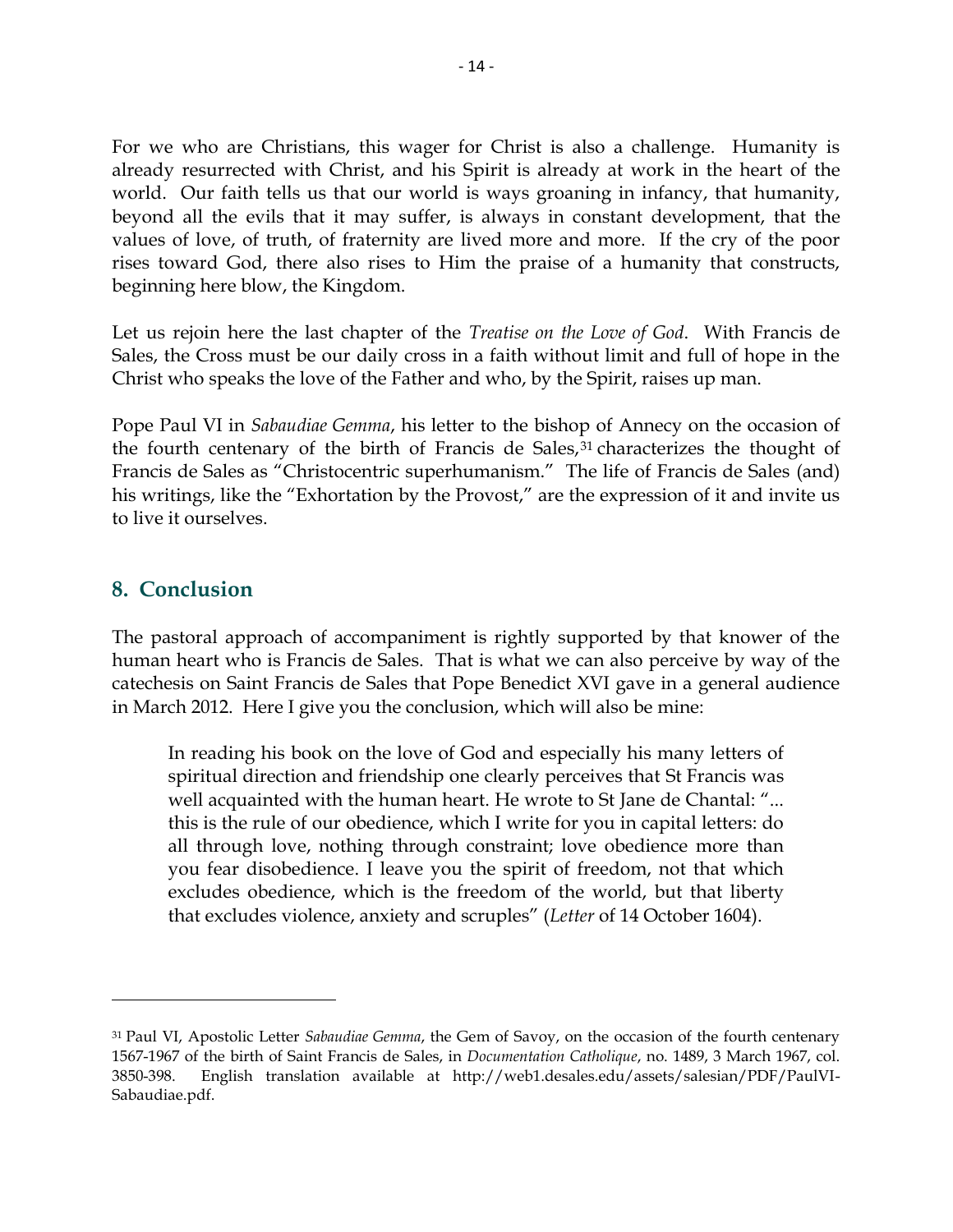For we who are Christians, this wager for Christ is also a challenge. Humanity is already resurrected with Christ, and his Spirit is already at work in the heart of the world. Our faith tells us that our world is ways groaning in infancy, that humanity, beyond all the evils that it may suffer, is always in constant development, that the values of love, of truth, of fraternity are lived more and more. If the cry of the poor rises toward God, there also rises to Him the praise of a humanity that constructs, beginning here blow, the Kingdom.

Let us rejoin here the last chapter of the *Treatise on the Love of God*. With Francis de Sales, the Cross must be our daily cross in a faith without limit and full of hope in the Christ who speaks the love of the Father and who, by the Spirit, raises up man.

Pope Paul VI in *Sabaudiae Gemma*, his letter to the bishop of Annecy on the occasion of the fourth centenary of the birth of Francis de Sales, $31$  characterizes the thought of Francis de Sales as "Christocentric superhumanism." The life of Francis de Sales (and) his writings, like the "Exhortation by the Provost," are the expression of it and invite us to live it ourselves.

#### **8. Conclusion**

l

The pastoral approach of accompaniment is rightly supported by that knower of the human heart who is Francis de Sales. That is what we can also perceive by way of the catechesis on Saint Francis de Sales that Pope Benedict XVI gave in a general audience in March 2012. Here I give you the conclusion, which will also be mine:

In reading his book on the love of God and especially his many letters of spiritual direction and friendship one clearly perceives that St Francis was well acquainted with the human heart. He wrote to St Jane de Chantal: "... this is the rule of our obedience, which I write for you in capital letters: do all through love, nothing through constraint; love obedience more than you fear disobedience. I leave you the spirit of freedom, not that which excludes obedience, which is the freedom of the world, but that liberty that excludes violence, anxiety and scruples" (*Letter* of 14 October 1604).

<sup>31</sup> Paul VI, Apostolic Letter *Sabaudiae Gemma*, the Gem of Savoy, on the occasion of the fourth centenary 1567-1967 of the birth of Saint Francis de Sales, in *Documentation Catholique*, no. 1489, 3 March 1967, col. 3850-398. English translation available at http://web1.desales.edu/assets/salesian/PDF/PaulVI-Sabaudiae.pdf.